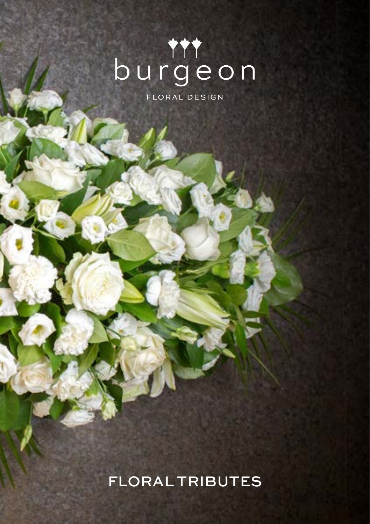# burgeon

FLORAL DESIGN

FLORAL TRIBUTES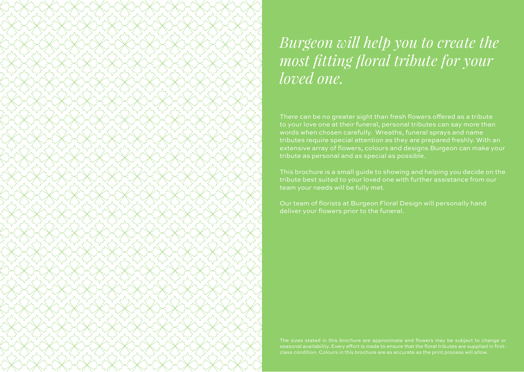### *Burgeon will help you to create the most fitting floral tribute for your loved one.*

There can be no greater sight than fresh flowers offered as a tribute to your love one at their funeral, personal tributes can say more than words when chosen carefully. Wreaths, funeral sprays and name tributes require special attention as they are prepared freshly. With an extensive array of flowers, colours and designs Burgeon can make your tribute as personal and as special as possible.

This brochure is a small guide to showing and helping you decide on the tribute best suited to your loved one with further assistance from our team your needs will be fully met.

Our team of florists at Burgeon Floral Design will personally hand deliver your flowers prior to the funeral.

The sizes stated in this brochure are approximate and flowers may be subject to change or class condition. Colours in this brochure are as accurate as the print process will allow.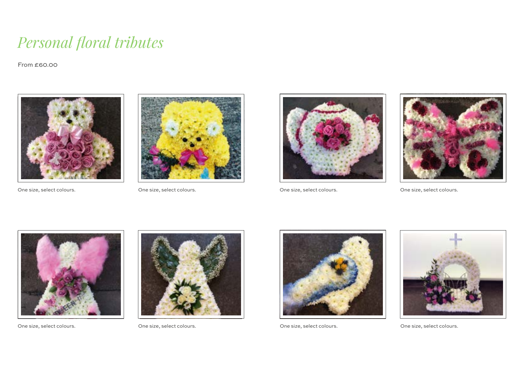#### *Personal floral tributes*

From £60.00



One size, select colours. One size, select colours.







One size, select colours. One size, select colours.





One size, select colours. One size, select colours.







One size, select colours. One size, select colours.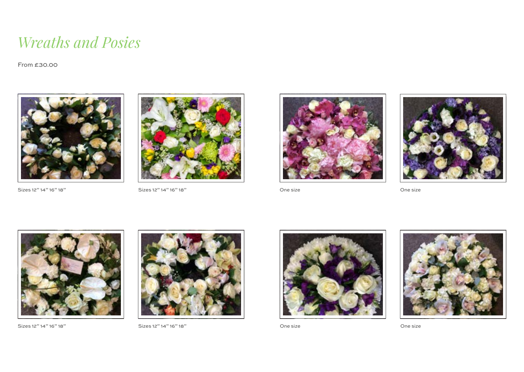#### *Wreaths and Posies*

From £30.00



Sizes 12" 14" 16" 18" Sizes 12" 14" 16" 18"





One size **One size** One size





Sizes 12" 14" 16" 18" Sizes 12" 14" 16" 18"







One size Contact Cone size Cone size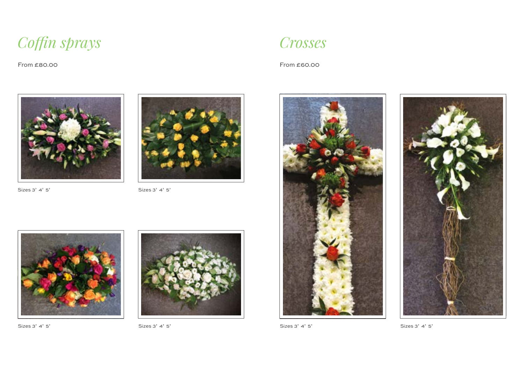*Coffin sprays*

From £80.00





Sizes 3' 4' 5' Sizes 3' 4' 5'



From £60.00





Sizes 3' 4' 5' Sizes 3' 4' 5'

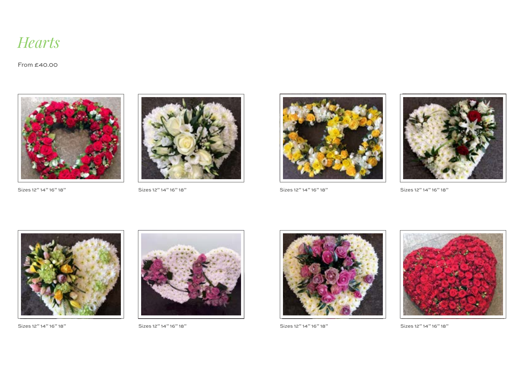

From £40.00



Sizes 12" 14" 16" 18" Sizes 12" 14" 16" 18"





Sizes 12" 14" 16" 18" Sizes 12" 14" 16" 18"





Sizes 12" 14" 16" 18" Sizes 12" 14" 16" 18"







Sizes 12" 14" 16" 18" Sizes 12" 14" 16" 18"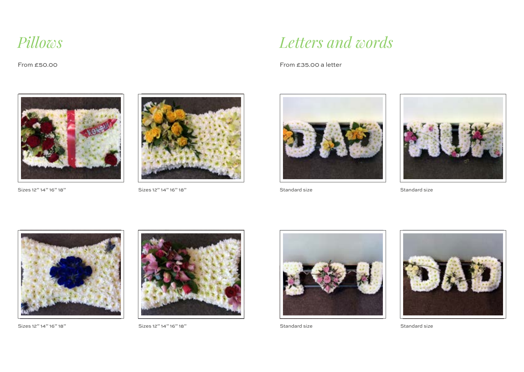#### *Pillows*

From £50.00



Sizes 12" 14" 16" 18" Sizes 12" 14" 16" 18"



#### *Letters and words*

From £35.00 a letter





Standard size Standard size



Sizes 12" 14" 16" 18" Sizes 12" 14" 16" 18"







Standard size Standard size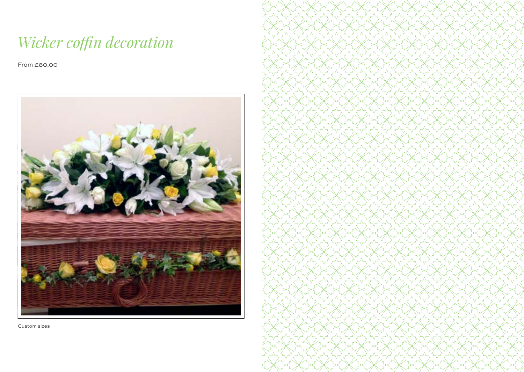## *Wicker coffin decoration*

From £80.00



Custom sizes